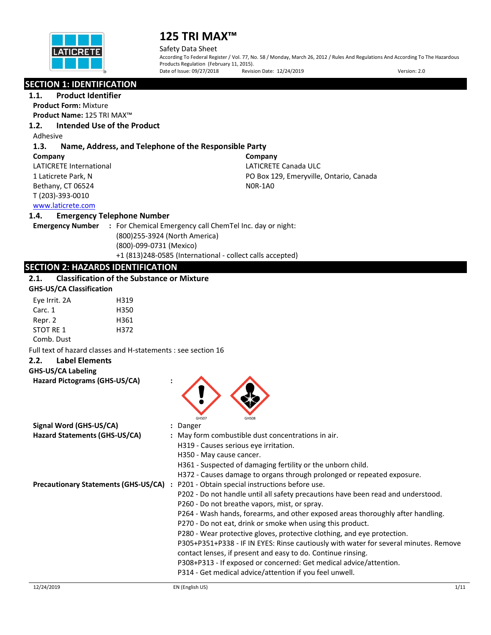

Safety Data Sheet

According To Federal Register / Vol. 77, No. 58 / Monday, March 26, 2012 / Rules And Regulations And According To The Hazardous Products Regulation (February 11, 2015).<br>Date of Issue: 09/27/2018 Revisi Revision Date: 12/24/2019 Version: 2.0

# **SECTION 1: IDENTIFICATION**

**1.1. Product Identifier**

**Product Form:** Mixture

**Product Name:** 125 TRI MAX™

# **1.2. Intended Use of the Product**

Adhesive

# **1.3. Name, Address, and Telephone of the Responsible Party**

**Company**  LATICRETE International 1 Laticrete Park, N Bethany, CT 06524 T (203)-393-0010

**Company** LATICRETE Canada ULC PO Box 129, Emeryville, Ontario, Canada N0R-1A0

# [www.laticrete.com](http://www.laticrete.com/)

# **1.4. Emergency Telephone Number**

**Emergency Number :** For Chemical Emergency call ChemTel Inc. day or night: (800)255-3924 (North America) (800)-099-0731 (Mexico) +1 (813)248-0585 (International - collect calls accepted)

# **SECTION 2: HAZARDS IDENTIFICATION**

# **2.1. Classification of the Substance or Mixture**

| <b>GHS-US/CA Classification</b> |      |  |
|---------------------------------|------|--|
| Eye Irrit. 2A                   | H319 |  |
| Carc. 1                         | H350 |  |
| Repr. 2                         | H361 |  |
| STOT RE 1                       | H372 |  |
| Comb. Dust                      |      |  |

Full text of hazard classes and H-statements : see section 16

# **2.2. Label Elements**

## **GHS-US/CA Labeling**

| GHS07<br><b>GHS08</b><br>Signal Word (GHS-US/CA)<br>: Danger<br>Hazard Statements (GHS-US/CA)<br>: May form combustible dust concentrations in air.<br>H319 - Causes serious eye irritation.<br>H350 - May cause cancer. |
|--------------------------------------------------------------------------------------------------------------------------------------------------------------------------------------------------------------------------|
|                                                                                                                                                                                                                          |
|                                                                                                                                                                                                                          |
|                                                                                                                                                                                                                          |
|                                                                                                                                                                                                                          |
| H361 - Suspected of damaging fertility or the unborn child.                                                                                                                                                              |
| H372 - Causes damage to organs through prolonged or repeated exposure.                                                                                                                                                   |
| <b>Precautionary Statements (GHS-US/CA)</b> : P201 - Obtain special instructions before use.                                                                                                                             |
| P202 - Do not handle until all safety precautions have been read and understood.                                                                                                                                         |
| P260 - Do not breathe vapors, mist, or spray.                                                                                                                                                                            |
| P264 - Wash hands, forearms, and other exposed areas thoroughly after handling.                                                                                                                                          |
| P270 - Do not eat, drink or smoke when using this product.                                                                                                                                                               |
| P280 - Wear protective gloves, protective clothing, and eye protection.                                                                                                                                                  |
| P305+P351+P338 - IF IN EYES: Rinse cautiously with water for several minutes. Remove                                                                                                                                     |
| contact lenses, if present and easy to do. Continue rinsing.                                                                                                                                                             |
| P308+P313 - If exposed or concerned: Get medical advice/attention.                                                                                                                                                       |
| P314 - Get medical advice/attention if you feel unwell.                                                                                                                                                                  |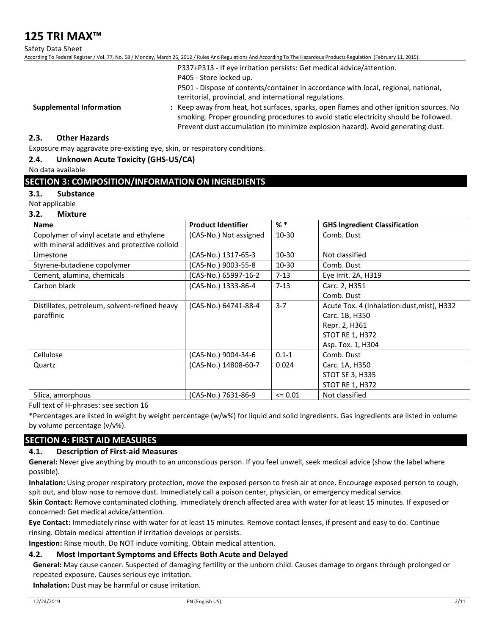Safety Data Sheet

According To Federal Register / Vol. 77, No. 58 / Monday, March 26, 2012 / Rules And Regulations And According To The Hazardous Products Regulation (February 11, 2015).

|                                 | P337+P313 - If eye irritation persists: Get medical advice/attention.                   |
|---------------------------------|-----------------------------------------------------------------------------------------|
|                                 | P405 - Store locked up.                                                                 |
|                                 | P501 - Dispose of contents/container in accordance with local, regional, national,      |
|                                 | territorial, provincial, and international regulations.                                 |
| <b>Supplemental Information</b> | : Keep away from heat, hot surfaces, sparks, open flames and other ignition sources. No |
|                                 | smoking. Proper grounding procedures to avoid static electricity should be followed.    |
|                                 | Prevent dust accumulation (to minimize explosion hazard). Avoid generating dust.        |

## **2.3. Other Hazards**

Exposure may aggravate pre-existing eye, skin, or respiratory conditions.

## **2.4. Unknown Acute Toxicity (GHS-US/CA)**

No data available

# **SECTION 3: COMPOSITION/INFORMATION ON INGREDIENTS**

#### **3.1. Substance**

Not applicable

## **3.2. Mixture**

| <b>Name</b>                                   | <b>Product Identifier</b> | $%$ *       | <b>GHS Ingredient Classification</b>        |
|-----------------------------------------------|---------------------------|-------------|---------------------------------------------|
| Copolymer of vinyl acetate and ethylene       | (CAS-No.) Not assigned    | 10-30       | Comb. Dust                                  |
| with mineral additives and protective colloid |                           |             |                                             |
| Limestone                                     | (CAS-No.) 1317-65-3       | $10 - 30$   | Not classified                              |
| Styrene-butadiene copolymer                   | (CAS-No.) 9003-55-8       | 10-30       | Comb. Dust                                  |
| Cement, alumina, chemicals                    | (CAS-No.) 65997-16-2      | $7 - 13$    | Eye Irrit. 2A, H319                         |
| Carbon black                                  | (CAS-No.) 1333-86-4       | $7 - 13$    | Carc. 2, H351                               |
|                                               |                           |             | Comb. Dust                                  |
| Distillates, petroleum, solvent-refined heavy | (CAS-No.) 64741-88-4      | $3 - 7$     | Acute Tox. 4 (Inhalation: dust, mist), H332 |
| paraffinic                                    |                           |             | Carc. 1B, H350                              |
|                                               |                           |             | Repr. 2, H361                               |
|                                               |                           |             | <b>STOT RE 1, H372</b>                      |
|                                               |                           |             | Asp. Tox. 1, H304                           |
| Cellulose                                     | (CAS-No.) 9004-34-6       | $0.1 - 1$   | Comb. Dust                                  |
| Quartz                                        | (CAS-No.) 14808-60-7      | 0.024       | Carc. 1A, H350                              |
|                                               |                           |             | <b>STOT SE 3, H335</b>                      |
|                                               |                           |             | <b>STOT RE 1, H372</b>                      |
| Silica, amorphous                             | (CAS-No.) 7631-86-9       | $\leq 0.01$ | Not classified                              |

Full text of H-phrases: see section 16

\*Percentages are listed in weight by weight percentage (w/w%) for liquid and solid ingredients. Gas ingredients are listed in volume by volume percentage (v/v%).

# **SECTION 4: FIRST AID MEASURES**

## **4.1. Description of First-aid Measures**

**General:** Never give anything by mouth to an unconscious person. If you feel unwell, seek medical advice (show the label where possible).

**Inhalation:** Using proper respiratory protection, move the exposed person to fresh air at once. Encourage exposed person to cough, spit out, and blow nose to remove dust. Immediately call a poison center, physician, or emergency medical service.

**Skin Contact:** Remove contaminated clothing. Immediately drench affected area with water for at least 15 minutes. If exposed or concerned: Get medical advice/attention.

**Eye Contact:** Immediately rinse with water for at least 15 minutes. Remove contact lenses, if present and easy to do. Continue rinsing. Obtain medical attention if irritation develops or persists.

**Ingestion:** Rinse mouth. Do NOT induce vomiting. Obtain medical attention.

## **4.2. Most Important Symptoms and Effects Both Acute and Delayed**

**General:** May cause cancer. Suspected of damaging fertility or the unborn child. Causes damage to organs through prolonged or repeated exposure. Causes serious eye irritation.

**Inhalation:** Dust may be harmful or cause irritation.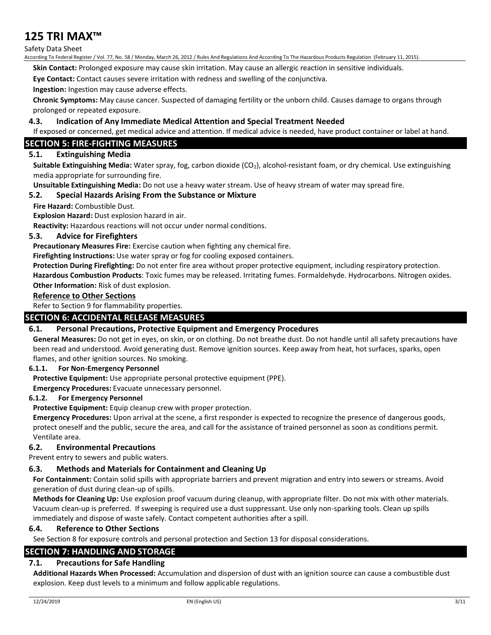#### Safety Data Sheet

According To Federal Register / Vol. 77, No. 58 / Monday, March 26, 2012 / Rules And Regulations And According To The Hazardous Products Regulation (February 11, 2015).

**Skin Contact:** Prolonged exposure may cause skin irritation. May cause an allergic reaction in sensitive individuals.

**Eye Contact:** Contact causes severe irritation with redness and swelling of the conjunctiva.

**Ingestion:** Ingestion may cause adverse effects.

**Chronic Symptoms:** May cause cancer. Suspected of damaging fertility or the unborn child. Causes damage to organs through prolonged or repeated exposure.

## **4.3. Indication of Any Immediate Medical Attention and Special Treatment Needed**

If exposed or concerned, get medical advice and attention. If medical advice is needed, have product container or label at hand.

# **SECTION 5: FIRE-FIGHTING MEASURES**

# **5.1. Extinguishing Media**

**Suitable Extinguishing Media:** Water spray, fog, carbon dioxide (CO<sub>2</sub>), alcohol-resistant foam, or dry chemical. Use extinguishing media appropriate for surrounding fire.

**Unsuitable Extinguishing Media:** Do not use a heavy water stream. Use of heavy stream of water may spread fire.

## **5.2. Special Hazards Arising From the Substance or Mixture**

**Fire Hazard:** Combustible Dust.

**Explosion Hazard:** Dust explosion hazard in air.

**Reactivity:** Hazardous reactions will not occur under normal conditions.

#### **5.3. Advice for Firefighters**

**Precautionary Measures Fire:** Exercise caution when fighting any chemical fire.

**Firefighting Instructions:** Use water spray or fog for cooling exposed containers.

**Protection During Firefighting:** Do not enter fire area without proper protective equipment, including respiratory protection. **Hazardous Combustion Products**: Toxic fumes may be released. Irritating fumes. Formaldehyde. Hydrocarbons. Nitrogen oxides. **Other Information:** Risk of dust explosion.

#### **Reference to Other Sections**

Refer to Section 9 for flammability properties.

# **SECTION 6: ACCIDENTAL RELEASE MEASURES**

## **6.1. Personal Precautions, Protective Equipment and Emergency Procedures**

**General Measures:** Do not get in eyes, on skin, or on clothing. Do not breathe dust. Do not handle until all safety precautions have been read and understood. Avoid generating dust. Remove ignition sources. Keep away from heat, hot surfaces, sparks, open flames, and other ignition sources. No smoking.

## **6.1.1. For Non-Emergency Personnel**

**Protective Equipment:** Use appropriate personal protective equipment (PPE).

**Emergency Procedures:** Evacuate unnecessary personnel.

#### **6.1.2. For Emergency Personnel**

**Protective Equipment:** Equip cleanup crew with proper protection.

**Emergency Procedures:** Upon arrival at the scene, a first responder is expected to recognize the presence of dangerous goods, protect oneself and the public, secure the area, and call for the assistance of trained personnel as soon as conditions permit. Ventilate area.

## **6.2. Environmental Precautions**

Prevent entry to sewers and public waters.

# **6.3. Methods and Materials for Containment and Cleaning Up**

**For Containment:** Contain solid spills with appropriate barriers and prevent migration and entry into sewers or streams. Avoid generation of dust during clean-up of spills.

**Methods for Cleaning Up:** Use explosion proof vacuum during cleanup, with appropriate filter. Do not mix with other materials. Vacuum clean-up is preferred. If sweeping is required use a dust suppressant. Use only non-sparking tools. Clean up spills immediately and dispose of waste safely. Contact competent authorities after a spill.

## **6.4. Reference to Other Sections**

See Section 8 for exposure controls and personal protection and Section 13 for disposal considerations.

# **SECTION 7: HANDLING AND STORAGE**

## **7.1. Precautions for Safe Handling**

**Additional Hazards When Processed:** Accumulation and dispersion of dust with an ignition source can cause a combustible dust explosion. Keep dust levels to a minimum and follow applicable regulations.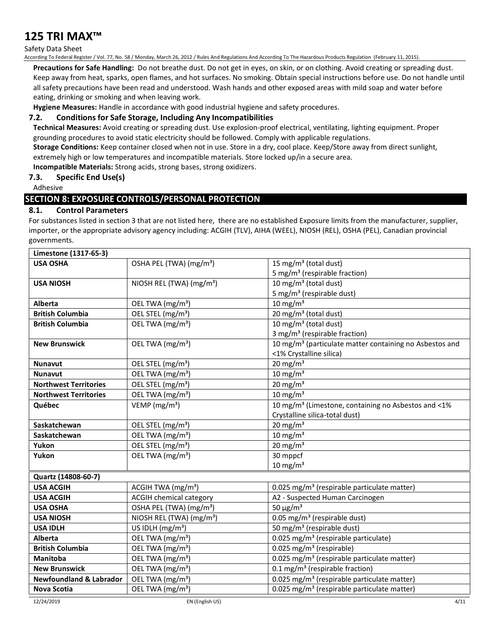#### Safety Data Sheet

According To Federal Register / Vol. 77, No. 58 / Monday, March 26, 2012 / Rules And Regulations And According To The Hazardous Products Regulation (February 11, 2015).

**Precautions for Safe Handling:** Do not breathe dust. Do not get in eyes, on skin, or on clothing. Avoid creating or spreading dust. Keep away from heat, sparks, open flames, and hot surfaces. No smoking. Obtain special instructions before use. Do not handle until all safety precautions have been read and understood. Wash hands and other exposed areas with mild soap and water before eating, drinking or smoking and when leaving work.

**Hygiene Measures:** Handle in accordance with good industrial hygiene and safety procedures.

# **7.2. Conditions for Safe Storage, Including Any Incompatibilities**

**Technical Measures:** Avoid creating or spreading dust. Use explosion-proof electrical, ventilating, lighting equipment. Proper grounding procedures to avoid static electricity should be followed. Comply with applicable regulations.

**Storage Conditions:** Keep container closed when not in use. Store in a dry, cool place. Keep/Store away from direct sunlight, extremely high or low temperatures and incompatible materials. Store locked up/in a secure area.

**Incompatible Materials:** Strong acids, strong bases, strong oxidizers.

# **7.3. Specific End Use(s)**

Adhesive

# **SECTION 8: EXPOSURE CONTROLS/PERSONAL PROTECTION**

# **8.1. Control Parameters**

For substances listed in section 3 that are not listed here, there are no established Exposure limits from the manufacturer, supplier, importer, or the appropriate advisory agency including: ACGIH (TLV), AIHA (WEEL), NIOSH (REL), OSHA (PEL), Canadian provincial governments.

| Limestone (1317-65-3)              |                                      |                                                                     |  |
|------------------------------------|--------------------------------------|---------------------------------------------------------------------|--|
| <b>USA OSHA</b>                    | OSHA PEL (TWA) (mg/m <sup>3</sup> )  | 15 mg/m <sup>3</sup> (total dust)                                   |  |
|                                    |                                      | 5 mg/m <sup>3</sup> (respirable fraction)                           |  |
| <b>USA NIOSH</b>                   | NIOSH REL (TWA) (mg/m <sup>3</sup> ) | 10 mg/m <sup>3</sup> (total dust)                                   |  |
|                                    |                                      | 5 mg/m <sup>3</sup> (respirable dust)                               |  |
| Alberta                            | OEL TWA (mg/m <sup>3</sup> )         | $10 \text{ mg/m}^3$                                                 |  |
| <b>British Columbia</b>            | OEL STEL (mg/m <sup>3</sup> )        | 20 mg/m <sup>3</sup> (total dust)                                   |  |
| <b>British Columbia</b>            | OEL TWA (mg/m <sup>3</sup> )         | 10 mg/m $3$ (total dust)                                            |  |
|                                    |                                      | 3 mg/m <sup>3</sup> (respirable fraction)                           |  |
| <b>New Brunswick</b>               | OEL TWA (mg/m <sup>3</sup> )         | 10 mg/m <sup>3</sup> (particulate matter containing no Asbestos and |  |
|                                    |                                      | <1% Crystalline silica)                                             |  |
| Nunavut                            | OEL STEL (mg/m <sup>3</sup> )        | $20$ mg/m <sup>3</sup>                                              |  |
| <b>Nunavut</b>                     | OEL TWA (mg/m <sup>3</sup> )         | $10 \text{ mg/m}^3$                                                 |  |
| <b>Northwest Territories</b>       | OEL STEL (mg/m <sup>3</sup> )        | $20$ mg/m <sup>3</sup>                                              |  |
| <b>Northwest Territories</b>       | OEL TWA (mg/m <sup>3</sup> )         | $10$ mg/m <sup>3</sup>                                              |  |
| Québec                             | VEMP ( $mg/m3$ )                     | 10 mg/m <sup>3</sup> (Limestone, containing no Asbestos and <1%     |  |
|                                    |                                      | Crystalline silica-total dust)                                      |  |
| Saskatchewan                       | OEL STEL (mg/m <sup>3</sup> )        | 20 mg/m $3$                                                         |  |
| Saskatchewan                       | OEL TWA (mg/m <sup>3</sup> )         | $10 \text{ mg/m}^3$                                                 |  |
| Yukon                              | OEL STEL (mg/m <sup>3</sup> )        | $20 \text{ mg/m}^3$                                                 |  |
| Yukon                              | OEL TWA (mg/m <sup>3</sup> )         | 30 mppcf                                                            |  |
|                                    |                                      | $10 \text{ mg/m}^3$                                                 |  |
| Quartz (14808-60-7)                |                                      |                                                                     |  |
| <b>USA ACGIH</b>                   | ACGIH TWA (mg/m <sup>3</sup> )       | 0.025 mg/m <sup>3</sup> (respirable particulate matter)             |  |
| <b>USA ACGIH</b>                   | <b>ACGIH chemical category</b>       | A2 - Suspected Human Carcinogen                                     |  |
| <b>USA OSHA</b>                    | OSHA PEL (TWA) (mg/m <sup>3</sup> )  | 50 $\mu$ g/m <sup>3</sup>                                           |  |
| <b>USA NIOSH</b>                   | NIOSH REL (TWA) (mg/m <sup>3</sup> ) | 0.05 mg/m <sup>3</sup> (respirable dust)                            |  |
| <b>USA IDLH</b>                    | US IDLH $(mg/m3)$                    | 50 mg/m <sup>3</sup> (respirable dust)                              |  |
| <b>Alberta</b>                     | OEL TWA (mg/m <sup>3</sup> )         | 0.025 mg/m <sup>3</sup> (respirable particulate)                    |  |
| <b>British Columbia</b>            | OEL TWA (mg/m <sup>3</sup> )         | 0.025 mg/m <sup>3</sup> (respirable)                                |  |
| <b>Manitoba</b>                    | OEL TWA (mg/m <sup>3</sup> )         | 0.025 mg/m <sup>3</sup> (respirable particulate matter)             |  |
| <b>New Brunswick</b>               | OEL TWA (mg/m <sup>3</sup> )         | 0.1 mg/m <sup>3</sup> (respirable fraction)                         |  |
| <b>Newfoundland &amp; Labrador</b> | OEL TWA (mg/m <sup>3</sup> )         | 0.025 mg/m <sup>3</sup> (respirable particulate matter)             |  |
| <b>Nova Scotia</b>                 | OEL TWA (mg/m <sup>3</sup> )         | 0.025 mg/m <sup>3</sup> (respirable particulate matter)             |  |

12/24/2019 EN (English US) 4/11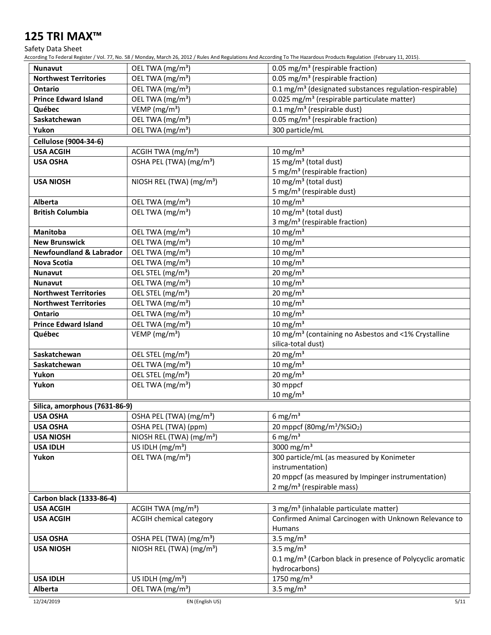Safety Data Sheet

According To Federal Register / Vol. 77, No. 58 / Monday, March 26, 2012 / Rules And Regulations And According To The Hazardous Products Regulation (February 11, 2015).

| <b>Nunavut</b>                     | OEL TWA (mg/m <sup>3</sup> )                                  | 0.05 mg/m <sup>3</sup> (respirable fraction)                           |  |
|------------------------------------|---------------------------------------------------------------|------------------------------------------------------------------------|--|
| <b>Northwest Territories</b>       | OEL TWA (mg/m <sup>3</sup> )                                  | 0.05 mg/m <sup>3</sup> (respirable fraction)                           |  |
| <b>Ontario</b>                     | OEL TWA (mg/m <sup>3</sup> )                                  | 0.1 mg/m <sup>3</sup> (designated substances regulation-respirable)    |  |
| <b>Prince Edward Island</b>        | OEL TWA (mg/m <sup>3</sup> )                                  | 0.025 mg/m <sup>3</sup> (respirable particulate matter)                |  |
| Québec                             | VEMP (mg/m <sup>3</sup> )                                     | $0.1$ mg/m <sup>3</sup> (respirable dust)                              |  |
| Saskatchewan                       | OEL TWA (mg/m <sup>3</sup> )                                  | 0.05 mg/m <sup>3</sup> (respirable fraction)                           |  |
| Yukon                              | OEL TWA (mg/m <sup>3</sup> )                                  | 300 particle/mL                                                        |  |
| Cellulose (9004-34-6)              |                                                               |                                                                        |  |
| <b>USA ACGIH</b>                   | ACGIH TWA (mg/m <sup>3</sup> )                                | $10 \text{ mg/m}^3$                                                    |  |
| <b>USA OSHA</b>                    | OSHA PEL (TWA) (mg/m <sup>3</sup> )                           | 15 mg/m <sup>3</sup> (total dust)                                      |  |
|                                    |                                                               | 5 mg/m <sup>3</sup> (respirable fraction)                              |  |
| <b>USA NIOSH</b>                   | NIOSH REL (TWA) (mg/m <sup>3</sup> )                          | 10 mg/m $3$ (total dust)                                               |  |
|                                    |                                                               | 5 mg/m <sup>3</sup> (respirable dust)                                  |  |
| Alberta                            | OEL TWA (mg/m <sup>3</sup> )                                  | $10 \text{ mg/m}^3$                                                    |  |
| <b>British Columbia</b>            | OEL TWA (mg/m <sup>3</sup> )                                  | $10 \,\mathrm{mg/m^3}$ (total dust)                                    |  |
|                                    |                                                               | 3 mg/m <sup>3</sup> (respirable fraction)                              |  |
| <b>Manitoba</b>                    | OEL TWA (mg/m <sup>3</sup> )                                  | $10 \text{ mg/m}^3$                                                    |  |
| <b>New Brunswick</b>               | OEL TWA (mg/m <sup>3</sup> )                                  | $10 \text{ mg/m}^3$                                                    |  |
| <b>Newfoundland &amp; Labrador</b> | OEL TWA (mg/m <sup>3</sup> )                                  | $10 \text{ mg/m}^3$                                                    |  |
| Nova Scotia                        | OEL TWA (mg/m <sup>3</sup> )                                  | $10 \text{ mg/m}^3$                                                    |  |
| <b>Nunavut</b>                     | OEL STEL (mg/m <sup>3</sup> )                                 | $20$ mg/m <sup>3</sup>                                                 |  |
| <b>Nunavut</b>                     | OEL TWA (mg/m <sup>3</sup> )                                  | $10 \text{ mg/m}^3$                                                    |  |
| <b>Northwest Territories</b>       | OEL STEL (mg/m <sup>3</sup> )                                 | $20$ mg/m <sup>3</sup>                                                 |  |
| <b>Northwest Territories</b>       | OEL TWA (mg/m <sup>3</sup> )                                  | $10 \text{ mg/m}^3$                                                    |  |
| Ontario                            | OEL TWA (mg/m <sup>3</sup> )                                  | $10 \text{ mg/m}^3$                                                    |  |
| <b>Prince Edward Island</b>        | OEL TWA (mg/m <sup>3</sup> )                                  | $10 \text{ mg/m}^3$                                                    |  |
| Québec                             | VEMP ( $mg/m3$ )                                              | 10 mg/m <sup>3</sup> (containing no Asbestos and <1% Crystalline       |  |
|                                    |                                                               | silica-total dust)                                                     |  |
| Saskatchewan                       | OEL STEL (mg/m <sup>3</sup> )                                 | $20 \text{ mg/m}^3$                                                    |  |
| Saskatchewan                       | OEL TWA (mg/m <sup>3</sup> )                                  | $10 \text{ mg/m}^3$                                                    |  |
| Yukon<br>Yukon                     | OEL STEL (mg/m <sup>3</sup> )<br>OEL TWA (mg/m <sup>3</sup> ) | $20$ mg/m <sup>3</sup><br>30 mppcf                                     |  |
|                                    |                                                               | $10$ mg/m <sup>3</sup>                                                 |  |
|                                    |                                                               |                                                                        |  |
| Silica, amorphous (7631-86-9)      |                                                               |                                                                        |  |
| <b>USA OSHA</b><br><b>USA OSHA</b> | OSHA PEL (TWA) (mg/m <sup>3</sup> )<br>OSHA PEL (TWA) (ppm)   | 6 mg/m $3$<br>20 mppcf (80mg/m <sup>3</sup> /%SiO <sub>2</sub> )       |  |
| <b>USA NIOSH</b>                   | NIOSH REL (TWA) (mg/m <sup>3</sup> )                          | 6 mg/m $3$                                                             |  |
| <b>USA IDLH</b>                    | US IDLH $(mg/m3)$                                             | $\frac{1}{3000}$ mg/m <sup>3</sup>                                     |  |
| Yukon                              | OEL TWA (mg/m <sup>3</sup> )                                  | 300 particle/mL (as measured by Konimeter                              |  |
|                                    |                                                               | instrumentation)                                                       |  |
|                                    |                                                               | 20 mppcf (as measured by Impinger instrumentation)                     |  |
|                                    |                                                               | 2 mg/m <sup>3</sup> (respirable mass)                                  |  |
| Carbon black (1333-86-4)           |                                                               |                                                                        |  |
| <b>USA ACGIH</b>                   | ACGIH TWA (mg/m <sup>3</sup> )                                | 3 mg/m <sup>3</sup> (inhalable particulate matter)                     |  |
| <b>USA ACGIH</b>                   | <b>ACGIH chemical category</b>                                | Confirmed Animal Carcinogen with Unknown Relevance to                  |  |
|                                    |                                                               | Humans                                                                 |  |
| <b>USA OSHA</b>                    | OSHA PEL (TWA) (mg/m <sup>3</sup> )                           | 3.5 mg/ $m3$                                                           |  |
| <b>USA NIOSH</b>                   | NIOSH REL (TWA) (mg/m <sup>3</sup> )                          | 3.5 mg/ $m3$                                                           |  |
|                                    |                                                               | 0.1 mg/m <sup>3</sup> (Carbon black in presence of Polycyclic aromatic |  |
|                                    |                                                               | hydrocarbons)                                                          |  |
| <b>USA IDLH</b>                    | US IDLH (mg/m <sup>3</sup> )                                  | $1750$ mg/m <sup>3</sup>                                               |  |
| <b>Alberta</b>                     | OEL TWA (mg/m <sup>3</sup> )                                  | 3.5 mg/ $m3$                                                           |  |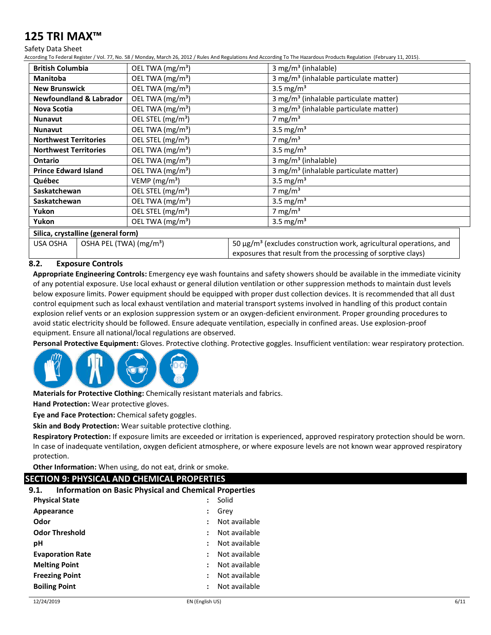#### Safety Data Sheet

According To Federal Register / Vol. 77, No. 58 / Monday, March 26, 2012 / Rules And Regulations And According To The Hazardous Products Regulation (February 11, 2015).

| <b>British Columbia</b>            |                                     | OEL TWA (mg/m <sup>3</sup> )                                                       | 3 mg/m <sup>3</sup> (inhalable)                                                                                                                     |
|------------------------------------|-------------------------------------|------------------------------------------------------------------------------------|-----------------------------------------------------------------------------------------------------------------------------------------------------|
| <b>Manitoba</b>                    |                                     | 3 mg/m <sup>3</sup> (inhalable particulate matter)<br>OEL TWA (mg/m <sup>3</sup> ) |                                                                                                                                                     |
| <b>New Brunswick</b>               |                                     | OEL TWA (mg/m <sup>3</sup> )<br>3.5 mg/m <sup>3</sup>                              |                                                                                                                                                     |
|                                    | <b>Newfoundland &amp; Labrador</b>  | OEL TWA (mg/m <sup>3</sup> )                                                       | 3 mg/m <sup>3</sup> (inhalable particulate matter)                                                                                                  |
| Nova Scotia                        |                                     | OEL TWA (mg/m <sup>3</sup> )                                                       | 3 mg/m <sup>3</sup> (inhalable particulate matter)                                                                                                  |
| <b>Nunavut</b>                     |                                     | OEL STEL (mg/m <sup>3</sup> )                                                      | 7 mg/m <sup>3</sup>                                                                                                                                 |
| <b>Nunavut</b>                     |                                     | OEL TWA (mg/m <sup>3</sup> )                                                       | 3.5 mg/m <sup>3</sup>                                                                                                                               |
| <b>Northwest Territories</b>       |                                     | OEL STEL (mg/m <sup>3</sup> )                                                      | 7 mg/m $3$                                                                                                                                          |
| <b>Northwest Territories</b>       |                                     | 3.5 mg/m <sup>3</sup><br>OEL TWA (mg/m <sup>3</sup> )                              |                                                                                                                                                     |
| <b>Ontario</b>                     |                                     | OEL TWA (mg/m <sup>3</sup> )<br>3 mg/m <sup>3</sup> (inhalable)                    |                                                                                                                                                     |
| <b>Prince Edward Island</b>        |                                     | OEL TWA (mg/m <sup>3</sup> )<br>3 mg/m <sup>3</sup> (inhalable particulate matter) |                                                                                                                                                     |
| Québec                             |                                     | $VEMP$ (mg/m <sup>3</sup> )<br>3.5 mg/m <sup>3</sup>                               |                                                                                                                                                     |
| Saskatchewan                       |                                     | OEL STEL (mg/m <sup>3</sup> )<br>7 mg/m $3$                                        |                                                                                                                                                     |
| Saskatchewan                       |                                     | OEL TWA (mg/m <sup>3</sup> )<br>3.5 mg/m <sup>3</sup>                              |                                                                                                                                                     |
| Yukon                              |                                     | OEL STEL (mg/m <sup>3</sup> )                                                      | 7 mg/m $3$                                                                                                                                          |
| Yukon                              |                                     | OEL TWA (mg/m <sup>3</sup> )                                                       | 3.5 mg/m <sup>3</sup>                                                                                                                               |
| Silica, crystalline (general form) |                                     |                                                                                    |                                                                                                                                                     |
| USA OSHA                           | OSHA PEL (TWA) (mg/m <sup>3</sup> ) |                                                                                    | 50 $\mu$ g/m <sup>3</sup> (excludes construction work, agricultural operations, and<br>exposures that result from the processing of sorptive clays) |

# **8.2. Exposure Controls**

**Appropriate Engineering Controls:** Emergency eye wash fountains and safety showers should be available in the immediate vicinity of any potential exposure. Use local exhaust or general dilution ventilation or other suppression methods to maintain dust levels below exposure limits. Power equipment should be equipped with proper dust collection devices. It is recommended that all dust control equipment such as local exhaust ventilation and material transport systems involved in handling of this product contain explosion relief vents or an explosion suppression system or an oxygen-deficient environment. Proper grounding procedures to avoid static electricity should be followed. Ensure adequate ventilation, especially in confined areas. Use explosion-proof equipment. Ensure all national/local regulations are observed.

**Personal Protective Equipment:** Gloves. Protective clothing. Protective goggles. Insufficient ventilation: wear respiratory protection.



**Materials for Protective Clothing:** Chemically resistant materials and fabrics.

**Hand Protection:** Wear protective gloves.

**Eye and Face Protection:** Chemical safety goggles.

**Skin and Body Protection:** Wear suitable protective clothing.

**Respiratory Protection:** If exposure limits are exceeded or irritation is experienced, approved respiratory protection should be worn. In case of inadequate ventilation, oxygen deficient atmosphere, or where exposure levels are not known wear approved respiratory protection.

**Other Information:** When using, do not eat, drink or smoke.

# **SECTION 9: PHYSICAL AND CHEMICAL PROPERTIES**

## **9.1. Information on Basic Physical and Chemical Properties**

| <b>Physical State</b>   |                      | Solid         |
|-------------------------|----------------------|---------------|
| Appearance              | :                    | Grey          |
| Odor                    | $\ddot{\phantom{a}}$ | Not available |
| <b>Odor Threshold</b>   | $\ddot{\phantom{a}}$ | Not available |
| рH                      | $\ddot{\phantom{a}}$ | Not available |
| <b>Evaporation Rate</b> | ÷                    | Not available |
| <b>Melting Point</b>    | $\ddot{\phantom{a}}$ | Not available |
| <b>Freezing Point</b>   | $\ddot{\phantom{a}}$ | Not available |
| <b>Boiling Point</b>    |                      | Not available |
|                         |                      |               |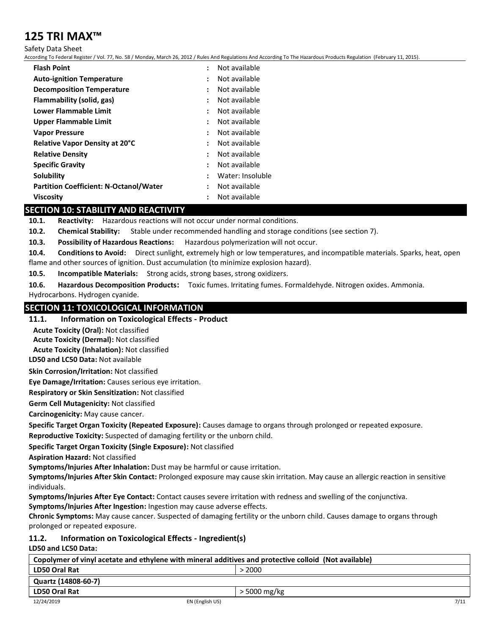Safety Data Sheet

According To Federal Register / Vol. 77, No. 58 / Monday, March 26, 2012 / Rules And Regulations And According To The Hazardous Products Regulation (February 11, 2015).

| <b>Flash Point</b>                            | $\ddot{\phantom{a}}$ | Not available    |
|-----------------------------------------------|----------------------|------------------|
| <b>Auto-ignition Temperature</b>              | $\ddot{\phantom{a}}$ | Not available    |
| <b>Decomposition Temperature</b>              | $\ddot{\phantom{a}}$ | Not available    |
| Flammability (solid, gas)                     | :                    | Not available    |
| Lower Flammable Limit                         | $\ddot{\phantom{a}}$ | Not available    |
| Upper Flammable Limit                         | $\ddot{\phantom{a}}$ | Not available    |
| <b>Vapor Pressure</b>                         | $\ddot{\cdot}$       | Not available    |
| Relative Vapor Density at 20°C                | ÷                    | Not available    |
| <b>Relative Density</b>                       | :                    | Not available    |
| <b>Specific Gravity</b>                       | $\ddot{\phantom{a}}$ | Not available    |
| Solubility                                    | :                    | Water: Insoluble |
| <b>Partition Coefficient: N-Octanol/Water</b> | $\ddot{\phantom{a}}$ | Not available    |
| <b>Viscosity</b>                              | :                    | Not available    |

# **SECTION 10: STABILITY AND REACTIVITY**

**10.1. Reactivity:** Hazardous reactions will not occur under normal conditions.

**10.2. Chemical Stability:** Stable under recommended handling and storage conditions (see section 7).

**10.3. Possibility of Hazardous Reactions:** Hazardous polymerization will not occur.

**10.4. Conditions to Avoid:** Direct sunlight, extremely high or low temperatures, and incompatible materials. Sparks, heat, open flame and other sources of ignition. Dust accumulation (to minimize explosion hazard).

**10.5. Incompatible Materials:** Strong acids, strong bases, strong oxidizers.

**10.6. Hazardous Decomposition Products:** Toxic fumes. Irritating fumes. Formaldehyde. Nitrogen oxides. Ammonia. Hydrocarbons. Hydrogen cyanide.

# **SECTION 11: TOXICOLOGICAL INFORMATION**

## **11.1. Information on Toxicological Effects - Product**

**Acute Toxicity (Oral):** Not classified

**Acute Toxicity (Dermal):** Not classified

**Acute Toxicity (Inhalation):** Not classified

**LD50 and LC50 Data:** Not available

**Skin Corrosion/Irritation:** Not classified

**Eye Damage/Irritation:** Causes serious eye irritation.

**Respiratory or Skin Sensitization:** Not classified

**Germ Cell Mutagenicity:** Not classified

**Carcinogenicity:** May cause cancer.

**Specific Target Organ Toxicity (Repeated Exposure):** Causes damage to organs through prolonged or repeated exposure.

**Reproductive Toxicity:** Suspected of damaging fertility or the unborn child.

**Specific Target Organ Toxicity (Single Exposure):** Not classified

**Aspiration Hazard:** Not classified

**Symptoms/Injuries After Inhalation:** Dust may be harmful or cause irritation.

**Symptoms/Injuries After Skin Contact:** Prolonged exposure may cause skin irritation. May cause an allergic reaction in sensitive individuals.

**Symptoms/Injuries After Eye Contact:** Contact causes severe irritation with redness and swelling of the conjunctiva.

**Symptoms/Injuries After Ingestion:** Ingestion may cause adverse effects.

**Chronic Symptoms:** May cause cancer. Suspected of damaging fertility or the unborn child. Causes damage to organs through prolonged or repeated exposure.

#### **11.2. Information on Toxicological Effects - Ingredient(s) LD50 and LC50 Data:**

| Copolymer of vinyl acetate and ethylene with mineral additives and protective colloid (Not available) |                 |              |      |
|-------------------------------------------------------------------------------------------------------|-----------------|--------------|------|
| <b>LD50 Oral Rat</b><br>> 2000                                                                        |                 |              |      |
| Quartz (14808-60-7)                                                                                   |                 |              |      |
| LD50 Oral Rat                                                                                         |                 | > 5000 mg/kg |      |
| 12/24/2019                                                                                            | EN (English US) |              | 7/11 |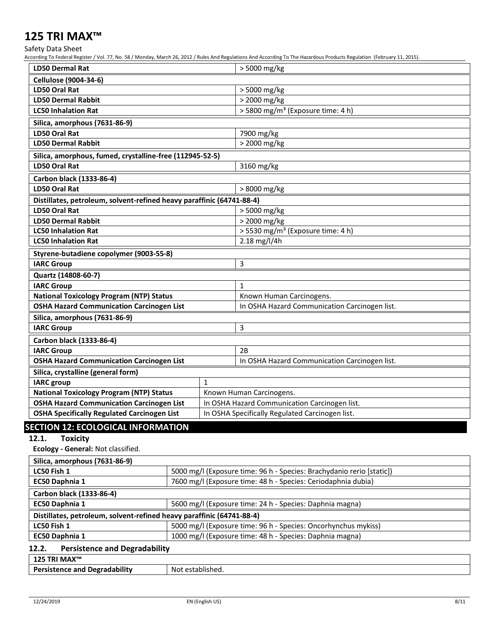Safety Data Sheet

According To Federal Register / Vol. 77, No. 58 / Monday, March 26, 2012 / Rules And Regulations And According To The Hazardous Products Regulation (February 11, 2015).

| <b>LD50 Dermal Rat</b>                                                                                |                                               | > 5000 mg/kg                                  |  |
|-------------------------------------------------------------------------------------------------------|-----------------------------------------------|-----------------------------------------------|--|
| <b>Cellulose (9004-34-6)</b>                                                                          |                                               |                                               |  |
| <b>LD50 Oral Rat</b>                                                                                  |                                               | > 5000 mg/kg                                  |  |
| <b>LD50 Dermal Rabbit</b>                                                                             |                                               | > 2000 mg/kg                                  |  |
| <b>LC50 Inhalation Rat</b>                                                                            |                                               | > 5800 mg/m <sup>3</sup> (Exposure time: 4 h) |  |
| Silica, amorphous (7631-86-9)                                                                         |                                               |                                               |  |
| <b>LD50 Oral Rat</b>                                                                                  |                                               | 7900 mg/kg                                    |  |
| <b>LD50 Dermal Rabbit</b>                                                                             |                                               | > 2000 mg/kg                                  |  |
| Silica, amorphous, fumed, crystalline-free (112945-52-5)                                              |                                               |                                               |  |
| <b>LD50 Oral Rat</b>                                                                                  |                                               | 3160 mg/kg                                    |  |
| Carbon black (1333-86-4)                                                                              |                                               |                                               |  |
| <b>LD50 Oral Rat</b>                                                                                  |                                               | > 8000 mg/kg                                  |  |
| Distillates, petroleum, solvent-refined heavy paraffinic (64741-88-4)                                 |                                               |                                               |  |
| LD50 Oral Rat                                                                                         |                                               | > 5000 mg/kg                                  |  |
| <b>LD50 Dermal Rabbit</b>                                                                             |                                               | > 2000 mg/kg                                  |  |
| <b>LC50 Inhalation Rat</b>                                                                            |                                               | > 5530 mg/m <sup>3</sup> (Exposure time: 4 h) |  |
| <b>LC50 Inhalation Rat</b>                                                                            |                                               | 2.18 mg/l/4h                                  |  |
| Styrene-butadiene copolymer (9003-55-8)                                                               |                                               |                                               |  |
| 3<br><b>IARC Group</b>                                                                                |                                               |                                               |  |
| Quartz (14808-60-7)                                                                                   |                                               |                                               |  |
| <b>IARC Group</b><br>$\mathbf{1}$                                                                     |                                               |                                               |  |
| <b>National Toxicology Program (NTP) Status</b>                                                       |                                               | Known Human Carcinogens.                      |  |
| <b>OSHA Hazard Communication Carcinogen List</b>                                                      |                                               | In OSHA Hazard Communication Carcinogen list. |  |
| Silica, amorphous (7631-86-9)                                                                         |                                               |                                               |  |
| <b>IARC Group</b>                                                                                     |                                               | 3                                             |  |
| Carbon black (1333-86-4)                                                                              |                                               |                                               |  |
| <b>IARC Group</b>                                                                                     |                                               | 2B                                            |  |
| <b>OSHA Hazard Communication Carcinogen List</b>                                                      |                                               | In OSHA Hazard Communication Carcinogen list. |  |
| Silica, crystalline (general form)                                                                    |                                               |                                               |  |
| <b>IARC</b> group                                                                                     | $\mathbf{1}$                                  |                                               |  |
| <b>National Toxicology Program (NTP) Status</b>                                                       |                                               | Known Human Carcinogens.                      |  |
| <b>OSHA Hazard Communication Carcinogen List</b>                                                      | In OSHA Hazard Communication Carcinogen list. |                                               |  |
| <b>OSHA Specifically Regulated Carcinogen List</b><br>In OSHA Specifically Regulated Carcinogen list. |                                               |                                               |  |

# **SECTION 12: ECOLOGICAL INFORMATION**

# **12.1. Toxicity**

**Ecology - General:** Not classified.

| Silica, amorphous (7631-86-9)                                              |                                                                       |  |
|----------------------------------------------------------------------------|-----------------------------------------------------------------------|--|
| LC50 Fish 1                                                                | 5000 mg/l (Exposure time: 96 h - Species: Brachydanio rerio [static]) |  |
| EC50 Daphnia 1                                                             | 7600 mg/l (Exposure time: 48 h - Species: Ceriodaphnia dubia)         |  |
| Carbon black (1333-86-4)                                                   |                                                                       |  |
| EC50 Daphnia 1<br>5600 mg/l (Exposure time: 24 h - Species: Daphnia magna) |                                                                       |  |
| Distillates, petroleum, solvent-refined heavy paraffinic (64741-88-4)      |                                                                       |  |
| LC50 Fish 1                                                                | 5000 mg/l (Exposure time: 96 h - Species: Oncorhynchus mykiss)        |  |
| <b>EC50 Daphnia 1</b>                                                      | 1000 mg/l (Exposure time: 48 h - Species: Daphnia magna)              |  |
| <b>Persistence and Degradability</b><br>12.2.                              |                                                                       |  |

| 125 TRI MAX™                              |                       |
|-------------------------------------------|-----------------------|
| .<br><b>Persistence and Degradability</b> | Not<br>* established. |
|                                           |                       |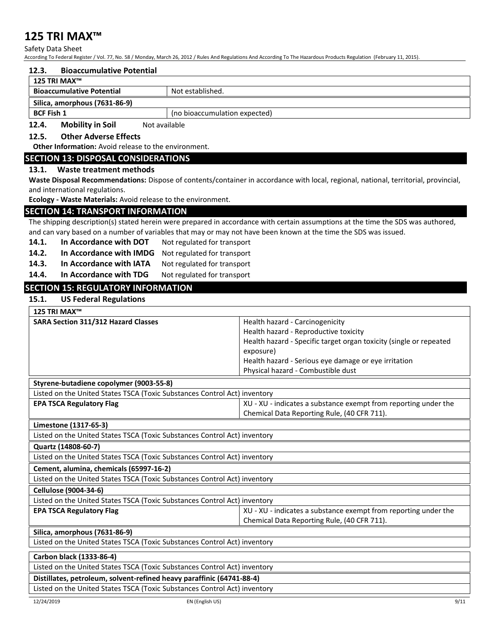Safety Data Sheet

According To Federal Register / Vol. 77, No. 58 / Monday, March 26, 2012 / Rules And Regulations And According To The Hazardous Products Regulation (February 11, 2015).

#### **12.3. Bioaccumulative Potential**

| 125 TRI MAX™                                                                                                                                                                                                                        |  |
|-------------------------------------------------------------------------------------------------------------------------------------------------------------------------------------------------------------------------------------|--|
| <b>Bioaccumulative Potential</b><br>Not established.                                                                                                                                                                                |  |
| Silica, amorphous (7631-86-9)                                                                                                                                                                                                       |  |
| <b>BCF Fish 1</b><br>(no bioaccumulation expected)                                                                                                                                                                                  |  |
| $\mathbf{A} \mathbf{A} = \mathbf{A} \mathbf{B} \mathbf{B} \mathbf{A} \mathbf{A} + \mathbf{B} \mathbf{A} \mathbf{A} \mathbf{B}$<br>$\sim$<br>$M = 1$ , $\frac{1}{2}$ , $\frac{1}{2}$ , $\frac{1}{2}$ , $\frac{1}{2}$ , $\frac{1}{2}$ |  |

#### **12.4. Mobility in Soil** Not available

# **12.5. Other Adverse Effects**

**Other Information:** Avoid release to the environment.

## **SECTION 13: DISPOSAL CONSIDERATIONS**

#### **13.1. Waste treatment methods**

**Waste Disposal Recommendations:** Dispose of contents/container in accordance with local, regional, national, territorial, provincial, and international regulations.

**Ecology - Waste Materials:** Avoid release to the environment.

# **SECTION 14: TRANSPORT INFORMATION**

The shipping description(s) stated herein were prepared in accordance with certain assumptions at the time the SDS was authored, and can vary based on a number of variables that may or may not have been known at the time the SDS was issued.

- **14.1. In Accordance with DOT** Not regulated for transport
- **14.2. In Accordance with IMDG** Not regulated for transport
- 
- 14.3. In Accordance with IATA Not regulated for transport<br>14.4. In Accordance with TDG Not regulated for transport **In Accordance with TDG** Not regulated for transport

# **SECTION 15: REGULATORY INFORMATION**

## **15.1. US Federal Regulations**

| 125 TRI MAX™                               |                                                                                 |
|--------------------------------------------|---------------------------------------------------------------------------------|
| <b>SARA Section 311/312 Hazard Classes</b> | Health hazard - Carcinogenicity                                                 |
|                                            | Health hazard - Reproductive toxicity                                           |
|                                            | Health hazard - Specific target organ toxicity (single or repeated<br>exposure) |
|                                            | Health hazard - Serious eye damage or eye irritation                            |
|                                            | Physical hazard - Combustible dust                                              |

| Listed on the United States TSCA (Toxic Substances Control Act) inventory |                                                                 |  |
|---------------------------------------------------------------------------|-----------------------------------------------------------------|--|
| <b>EPA TSCA Regulatory Flag</b>                                           | XU - XU - indicates a substance exempt from reporting under the |  |
|                                                                           | Chemical Data Reporting Rule, (40 CFR 711).                     |  |

## **Limestone (1317-65-3)**

Listed on the United States TSCA (Toxic Substances Control Act) inventory

**Quartz (14808-60-7)**

Listed on the United States TSCA (Toxic Substances Control Act) inventory

## **Cement, alumina, chemicals (65997-16-2)**

Listed on the United States TSCA (Toxic Substances Control Act) inventory

#### **Cellulose (9004-34-6)**

| Listed on the United States TSCA (Toxic Substances Control Act) inventory |                                                                 |
|---------------------------------------------------------------------------|-----------------------------------------------------------------|
| <b>EPA TSCA Regulatory Flag</b>                                           | XU - XU - indicates a substance exempt from reporting under the |
|                                                                           | Chemical Data Reporting Rule, (40 CFR 711).                     |

#### **Silica, amorphous (7631-86-9)**

Listed on the United States TSCA (Toxic Substances Control Act) inventory

#### **Carbon black (1333-86-4)**

Listed on the United States TSCA (Toxic Substances Control Act) inventory

#### **Distillates, petroleum, solvent-refined heavy paraffinic (64741-88-4)**

Listed on the United States TSCA (Toxic Substances Control Act) inventory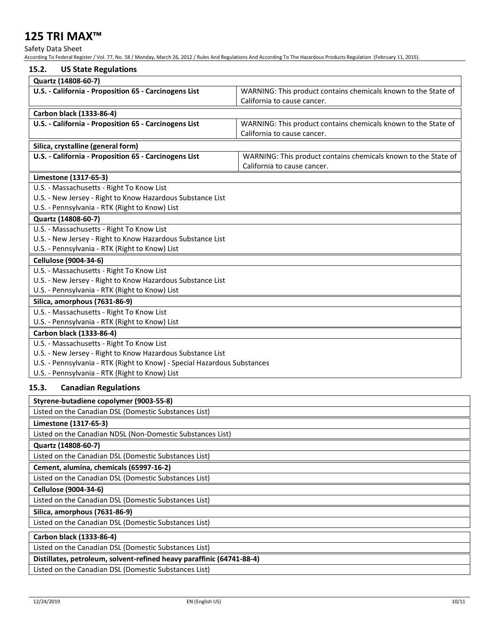Safety Data Sheet

According To Federal Register / Vol. 77, No. 58 / Monday, March 26, 2012 / Rules And Regulations And According To The Hazardous Products Regulation (February 11, 2015).

| 15.2.<br><b>US State Regulations</b>                                                                    |                                                                |
|---------------------------------------------------------------------------------------------------------|----------------------------------------------------------------|
| Quartz (14808-60-7)                                                                                     |                                                                |
| U.S. - California - Proposition 65 - Carcinogens List                                                   | WARNING: This product contains chemicals known to the State of |
|                                                                                                         | California to cause cancer.                                    |
| Carbon black (1333-86-4)                                                                                |                                                                |
| U.S. - California - Proposition 65 - Carcinogens List                                                   | WARNING: This product contains chemicals known to the State of |
|                                                                                                         | California to cause cancer.                                    |
|                                                                                                         |                                                                |
| Silica, crystalline (general form)<br>U.S. - California - Proposition 65 - Carcinogens List             | WARNING: This product contains chemicals known to the State of |
|                                                                                                         | California to cause cancer.                                    |
|                                                                                                         |                                                                |
| Limestone (1317-65-3)                                                                                   |                                                                |
| U.S. - Massachusetts - Right To Know List<br>U.S. - New Jersey - Right to Know Hazardous Substance List |                                                                |
| U.S. - Pennsylvania - RTK (Right to Know) List                                                          |                                                                |
|                                                                                                         |                                                                |
| Quartz (14808-60-7)                                                                                     |                                                                |
| U.S. - Massachusetts - Right To Know List                                                               |                                                                |
| U.S. - New Jersey - Right to Know Hazardous Substance List                                              |                                                                |
| U.S. - Pennsylvania - RTK (Right to Know) List                                                          |                                                                |
| <b>Cellulose (9004-34-6)</b>                                                                            |                                                                |
| U.S. - Massachusetts - Right To Know List                                                               |                                                                |
| U.S. - New Jersey - Right to Know Hazardous Substance List                                              |                                                                |
| U.S. - Pennsylvania - RTK (Right to Know) List                                                          |                                                                |
| Silica, amorphous (7631-86-9)                                                                           |                                                                |
| U.S. - Massachusetts - Right To Know List                                                               |                                                                |
| U.S. - Pennsylvania - RTK (Right to Know) List                                                          |                                                                |
| Carbon black (1333-86-4)                                                                                |                                                                |
| U.S. - Massachusetts - Right To Know List                                                               |                                                                |
| U.S. - New Jersey - Right to Know Hazardous Substance List                                              |                                                                |
| U.S. - Pennsylvania - RTK (Right to Know) - Special Hazardous Substances                                |                                                                |
| U.S. - Pennsylvania - RTK (Right to Know) List                                                          |                                                                |
| 15.3.<br><b>Canadian Regulations</b>                                                                    |                                                                |
| Styrene-butadiene copolymer (9003-55-8)                                                                 |                                                                |
| Listed on the Canadian DSL (Domestic Substances List)                                                   |                                                                |
| Limestone (1317-65-3)                                                                                   |                                                                |
| Listed on the Canadian NDSL (Non-Domestic Substances List)                                              |                                                                |
| Quartz (14808-60-7)                                                                                     |                                                                |
| Listed on the Canadian DSL (Domestic Substances List)                                                   |                                                                |
| Cement, alumina, chemicals (65997-16-2)                                                                 |                                                                |
| Listed on the Canadian DSL (Domestic Substances List)                                                   |                                                                |
| Cellulose (9004-34-6)                                                                                   |                                                                |
| Listed on the Canadian DSL (Domestic Substances List)                                                   |                                                                |
|                                                                                                         |                                                                |
| Silica, amorphous (7631-86-9)                                                                           |                                                                |
| Listed on the Canadian DSL (Domestic Substances List)                                                   |                                                                |
| Carbon black (1333-86-4)                                                                                |                                                                |
| Listed on the Canadian DSL (Domestic Substances List)                                                   |                                                                |
| Distillates, petroleum, solvent-refined heavy paraffinic (64741-88-4)                                   |                                                                |
| Listed on the Canadian DSL (Domestic Substances List)                                                   |                                                                |